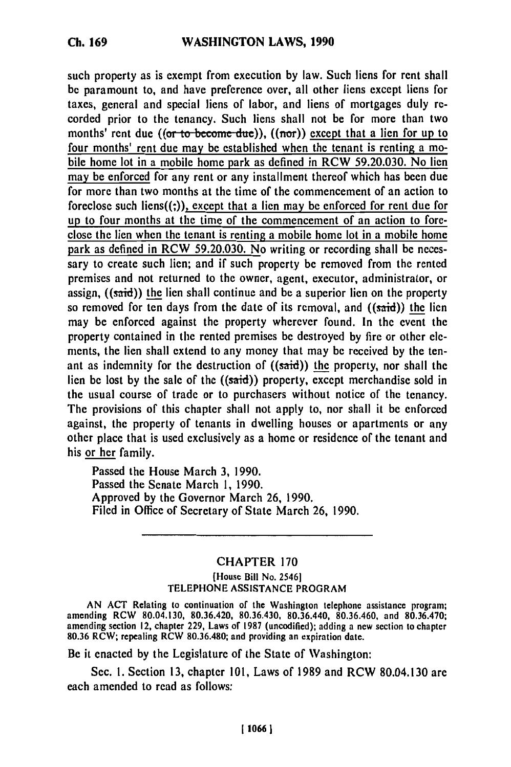*Ch.* **169**

such property as is exempt from execution **by** law. Such liens for rent shall be paramount to, and have preference over, all other liens except liens for taxes, general and special liens of labor, and liens of mortgages duly recorded prior to the tenancy. Such liens shall not be for more than two months' rent due ((or to become due)), ((nor)) except that a lien for up to four months' rent due may be established when the tenant is renting a mobile home lot in a mobile home park as defined in RCW **59.20.030.** No lien may be enforced for any rent or any installment thereof which has been due for more than two months at the time of the commencement of an action to foreclose such liens((;)), except that a lien may be enforced for rent due for up to four months at the time of the commencement of an action to foreclose the lien when the tenant is renting a mobile home lot in a mobile home park as defined in RCW **59.20.030.** No writing or recording shall be necessary to create such lien; and if such property be removed from the rented premises and not returned to the owner, agent, executor, administrator, or assign, ((said)) the lien shall continue and be a superior lien on the property so removed for ten days from the date of its removal, and  $((said))$  the lien may be enforced against the property wherever found. In the event the property contained in the rented premises be destroyed **by** fire or other **cle**ments, the lien shall extend to any money that may be received **by** the tenant as indemnity for the destruction of  $((said))$  the property, nor shall the lien be lost **by** the sale of the ((said)) property, except merchandise sold in the usual course of trade or to purchasers without notice of the tenancy. The provisions of this chapter shall not apply to, nor shall it be enforced against, the property of tenants in dwelling houses or apartments or any other place that is used exclusively as a home or residence of the tenant and his or her family.

Passed the House March **3, 1990.** Passed the Senate March **1, 1990.** Approved **by** the Governor March **26, 1990.** Filed in Office of Secretary of State March **26, 1990.**

## CHAPTER **170** (House Bill No. 25461 **TELEPHONE ASSISTANCE** PROGRAM

**AN ACT** Relating to continuation of the Washington telephone assistance program;  $\alpha_{\rm B}$  80.04.130, 80.36.420, 80.36.430, 80.36.430, 80.36.430, 80.36.440, 80.36.440, 80.36.470; and 80.36.470; and 80.36.470 amending RCW 80.04.130, 80.36.420, 80.36.430, 80.36.440, 80.36.460, and 80.36.470;<br>amending section 12, chapter 229, Laws of 1987 (uncodified); adding a new section to chapter **80.36** RCW; repealing RCW 80.36.480; and providing an expiration date.

Be it enacted **by** the Legislature of the State of Washington:

Sec. **1.** Section **13,** chapter **101,** Laws of **1989** and RCW 80.04.130 are each amended to read as follows: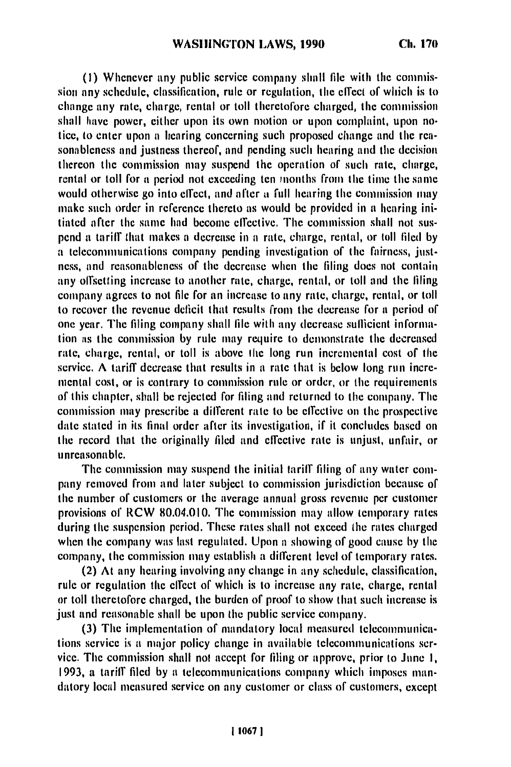**(I) Whcncvcr** tny public scrvice company shall file with **thc** commission any schcdulc, classification, **rulc** or rcgulation, the effect of which is to changc any rate, charge, rental or toll thcrctol'orc charged, **thc** commission shall **havc** power, cither upon its own motion or **upon** complaint, upon noticc, to entcr **upon** a hcaring concerning such proposed changc and **thc** rcasonablcncss and justncss thcrcof, and pending such hearing and **thc** decision thercon **thc** commission may suspend the operation of such rate, charge, rental or toll for a period not exceeding ten months from **thc time** the same would otherwise go into effect, and after a full hearing the commission may make such order in reference thereto as would be provided in a hearing initiated after the sanme had become effective. **The** commission shall not suspend at tariff that makes a decrease in a rate, charge, rental, or toll filed **by a** telecommunications company pending investigation of the fairness, justness, and reasonableness of **thc** decrease when the filing does not contain any offsetting increase to another rate, charge, rental, or toll and the filing company agrees to not file for an increase to any rate, charge, rental, or toll to recover the revenue deficit that results from the decrease for **at** period of one year. The filing company shall file with any decrease suflicicnt information is the commission **by** rule may require to demonstrate the decreased rate, charge, rental, or toll is above the long run incremental cost of the service. A tariff decrease that results in a rate that is below long run incremental cost, or is contrary to commission rule or order, or **the** requirements of this chapter, shall **be** rejected for filing and returned to the company. The commission may prescribe a difTcrcnt rate to be effective **on the** prospective date stated in its final order after its investigation, if it concludes based **on** the record that the originally filed and cfTcctivc rate is unjust, unfair, or unreasonable.

The commission may suspend the initial tariff filing of any water company removed from and later subject to commission jurisdiction because of the number of customers or the average annual gross revenue per customer provisions of RCW 80.04.010. The commission may allow temporary rates during the suspension period. These rates shall not exceed the rates charged when the company was last regulated. Upon a showing of good cause by the company, the commission may establish a different level of temporary rates.

(2) At any hearing involving any change in any schedule, classification, rule or regulation **thc** elfect of which is to increase any rate, charge, rental or toll thcretoforc chargcd, the burden of proof to show that such increase is just and reasonable shall be upon the public service company.

**(3)** The implementation of mandatory local measured telccomninications service is at major policy changc in availablc tclccommunications service. The commission shall not accept for filing or approve, prior to June **I, 1993,** a tariff filed **by** a tclccommunica tions company which imposes mandatory local measured service on any customer or class of customers, except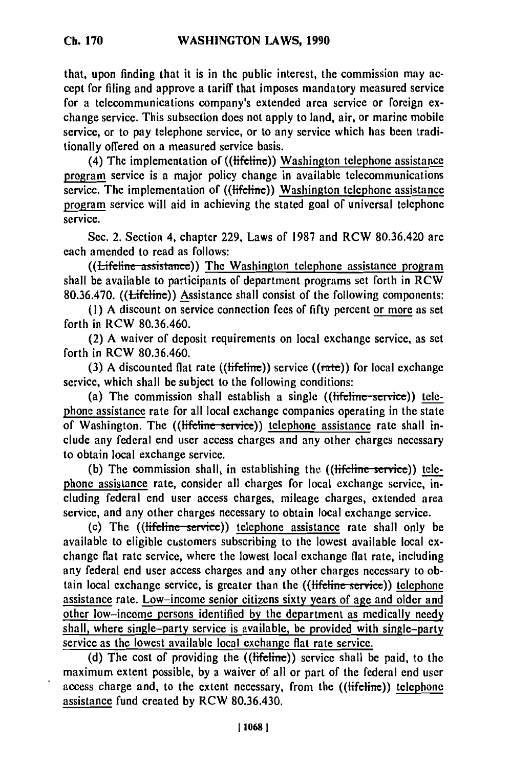that, upon finding that it is in the public interest, the commission may accept for filing and approve a tariff that imposes mandatory measured service for a telecommunications company's extended area service or foreign exchange service. This subsection does not apply to land, air, or marine mobile service, or to pay telephone service, or to any service which has been traditionally offered on a measured service basis.

(4) The implementation of (( $\text{tifeline}$ ) Washington telephone assistance program service is a major policy change in available telecommunications service. The implementation of ((lifeline)) Washington telephone assistance program service will aid in achieving the stated goal of universal telephone service.

Sec. 2. Section 4, chapter 229, Laws of 1987 and RCW 80.36.420 **are** each amended to read as follows:

((Lifeline assistance)) The Washington telephone assistance program shall be available to participants of department programs set forth in RCW 80.36.470. ((Lifeline)) Assistance shall consist of the following components:

**(1)** A discount on service connection fees of fifty percent or more as set forth in RCW 80.36.460.

(2) A waiver of deposit requirements on local exchange service, as set forth in RCW 80.36.460.

(3) A discounted flat rate (( $\text{tifeline}$ )) service (( $\text{rate}$ )) for local exchange service, which shall be subject to the following conditions:

(a) The commission shall establish a single ((lifeline-service)) telephone assistance rate for all local exchange companies operating in the state of Washington. The ((lifeline service)) telephone assistance rate shall include any federal end user access charges and any other charges necessary to obtain local exchange service.

(b) The commission shall, in establishing the  $((\text{tfeline service}))$  telephone assistance rate, consider all charges for local exchange service, including federal end user access charges, mileage charges, extended area service, and any other charges necessary to obtain local exchange service.

(c) The ((lifeline-serice)) telephone assistance rate shall only be available to eligible customers subscribing to the lowest available local exchange flat rate service, where the lowest local exchange flat rate, including any federal end user access charges and any other charges necessary to obtain local exchange service, is greater than the ((lifeline service)) telephone assistance rate. Low-income senior citizens sixty years of age and older and other low-income persons identified by the department as medically needy shall, where single-party service is available, be provided with single-party service as the lowest available local exchange flat rate service.

(d) The cost of providing the ((lifeline)) service shall be paid, to the maximum extent possible, by a waiver of all or part of the federal end user access charge and, to the extent necessary, from the ((lifeline)) telephone assistance fund created by RCW 80.36.430.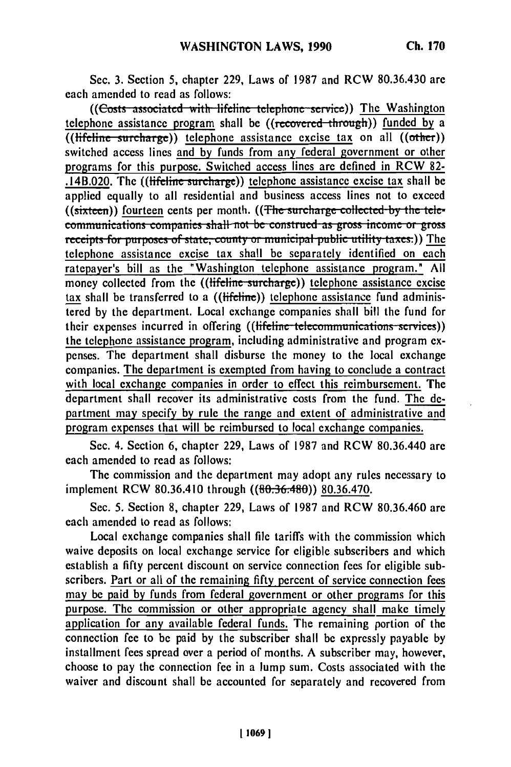Sec. **3.** Section **5,** chapter 229, Laws of 1987 and RCW **80.36.430 are** each amended to read as follows:

((Costs associated with lifeline telephone service)) The Washington telephone assistance program shall be ((recovered through)) funded by a  $((\text{tifeline surface})\)$  telephone assistance excise tax on all  $((\text{other}))$ switched access lines and **by** funds from any federal government or other programs for this purpose. Switched access lines are defined in RCW **82-**  $.14B.020$ . The ((lifeline surcharge)) telephone assistance excise tax shall be applied equally to all residential and business access lines not to exceed applied equally to all residential and business access intes not to exceed<br>((sixteen)) fourteen cents per month. ((The surcharge collected by the tele ((sixteen)) <u>lourieen</u> cents per month. ((<del>The surcharge conected by the te</del> communications companies shall not be construed as gross income or gross receipts for purposes of state, county or municipal public utility taxes.)) The telephone assistance excise tax shall be separately identified on each ratepayer's bill as the "Washington telephone assistance program." All money collected from the ((lifeline surcharge)) telephone assistance excise tax shall be transferred to a ((lifeline)) telephone assistance fund administered by the department. Local exchange companies shall bill the fund for their expenses incurred in offering ((lifeline telecommunications services)) the telephone assistance program, including administrative and program expenses. The department shall disburse the money to the local exchange companies. The department is exempted from having to conclude a contract with local exchange companies in order to effect this reimbursement. The department shall recover its administrative costs from the fund. The department may specify by rule the range and extent of administrative and program expenses that will be reimbursed to local exchange companies.

Sec. 4. Section 6, chapter 229, Laws of 1987 and RCW 80.36.440 are each amended to read as follows:

The commission and the department may adopt any rules necessary to implement RCW 80.36.410 through ((80.36.480)) 80.36.470.

Sec. **5.** Section 8, chapter 229, Laws of 1987 and RCW 80.36.460 are each amended to read as follows:

Local exchange companies shall file tariffs with the commission which waive deposits on local exchange service for eligible subscribers and which establish a fifty percent discount on service connection fees for eligible subscribers. Part or all of the remaining fifty percent of service connection fees may be paid **by** funds from federal government or other programs for this purpose. The commission or other appropriate agency shall make timely application for any available federal funds. The remaining portion of the connection fee to be paid by the subscriber shall be expressly payable by installment fees spread over a period of months. A subscriber may, however, choose to pay the connection fee in a lump sum. Costs associated with the waiver and discount shall be accounted for separately and recovered from